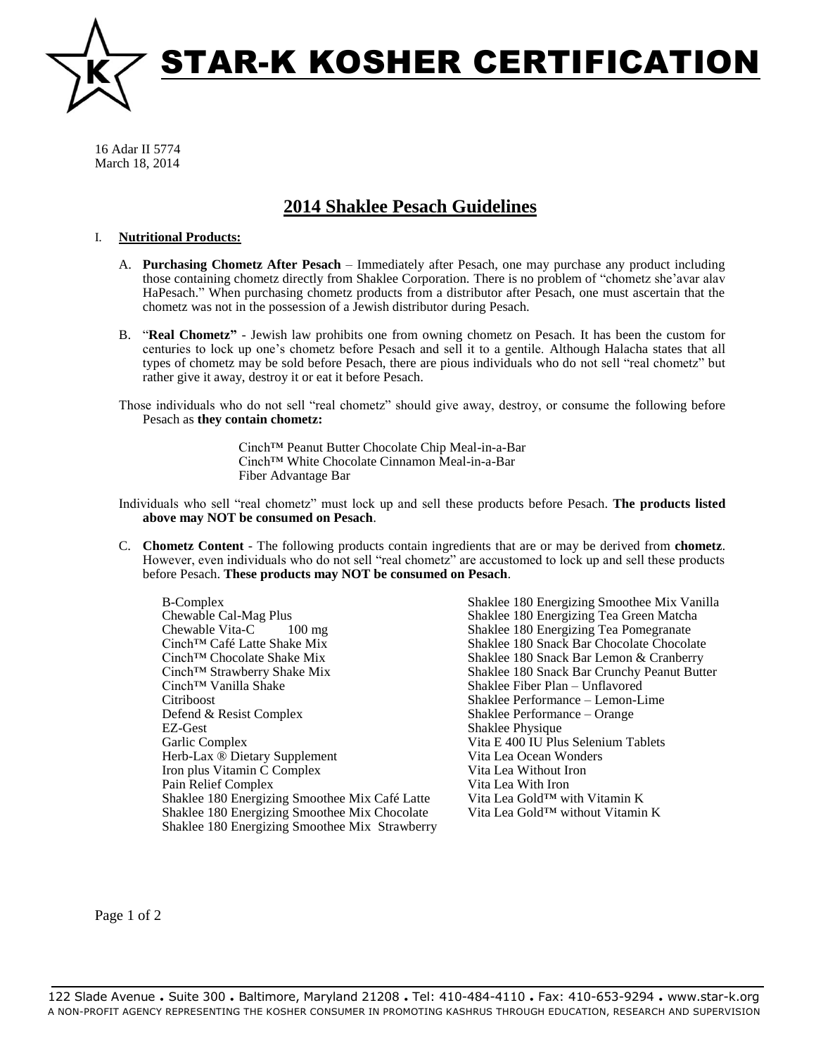

16 Adar II 5774 March 18, 2014

## **2014 Shaklee Pesach Guidelines**

## I. **Nutritional Products:**

- A. **Purchasing Chometz After Pesach** Immediately after Pesach, one may purchase any product including those containing chometz directly from Shaklee Corporation. There is no problem of "chometz she'avar alav HaPesach." When purchasing chometz products from a distributor after Pesach, one must ascertain that the chometz was not in the possession of a Jewish distributor during Pesach.
- B. "**Real Chometz"** Jewish law prohibits one from owning chometz on Pesach. It has been the custom for centuries to lock up one's chometz before Pesach and sell it to a gentile. Although Halacha states that all types of chometz may be sold before Pesach, there are pious individuals who do not sell "real chometz" but rather give it away, destroy it or eat it before Pesach.

Those individuals who do not sell "real chometz" should give away, destroy, or consume the following before Pesach as **they contain chometz:**

> Cinch™ Peanut Butter Chocolate Chip Meal-in-a-Bar Cinch™ White Chocolate Cinnamon Meal-in-a-Bar Fiber Advantage Bar

Individuals who sell "real chometz" must lock up and sell these products before Pesach. **The products listed above may NOT be consumed on Pesach**.

C. **Chometz Content** - The following products contain ingredients that are or may be derived from **chometz**. However, even individuals who do not sell "real chometz" are accustomed to lock up and sell these products before Pesach. **These products may NOT be consumed on Pesach**.

B-Complex Chewable Cal-Mag Plus Chewable Vita-C 100 mg Cinch™ Café Latte Shake Mix Cinch™ Chocolate Shake Mix Cinch™ Strawberry Shake Mix Cinch™ Vanilla Shake Citriboost Defend & Resist Complex EZ-Gest Garlic Complex Herb-Lax ® Dietary Supplement Iron plus Vitamin C Complex Pain Relief Complex Shaklee 180 Energizing Smoothee Mix Café Latte Shaklee 180 Energizing Smoothee Mix Chocolate Shaklee 180 Energizing Smoothee Mix Strawberry Shaklee 180 Energizing Smoothee Mix Vanilla Shaklee 180 Energizing Tea Green Matcha Shaklee 180 Energizing Tea Pomegranate Shaklee 180 Snack Bar Chocolate Chocolate Shaklee 180 Snack Bar Lemon & Cranberry Shaklee 180 Snack Bar Crunchy Peanut Butter Shaklee Fiber Plan – Unflavored Shaklee Performance – Lemon-Lime Shaklee Performance – Orange Shaklee Physique Vita E 400 IU Plus Selenium Tablets Vita Lea Ocean Wonders Vita Lea Without Iron Vita Lea With Iron Vita Lea Gold™ with Vitamin K Vita Lea Gold™ without Vitamin K

Page 1 of 2